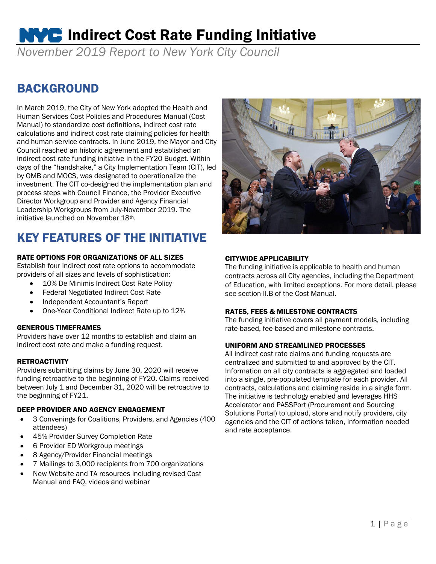# **NVC** Indirect Cost Rate Funding Initiative

*November 2019 Report to New York City Council*

### BACKGROUND

In March 2019, the City of New York adopted the Health and Human Services Cost Policies and Procedures Manual (Cost Manual) to standardize cost definitions, indirect cost rate calculations and indirect cost rate claiming policies for health and human service contracts. In June 2019, the Mayor and City Council reached an historic agreement and established an indirect cost rate funding initiative in the FY20 Budget. Within days of the "handshake," a City Implementation Team (CIT), led by OMB and MOCS, was designated to operationalize the investment. The CIT co-designed the implementation plan and process steps with Council Finance, the Provider Executive Director Workgroup and Provider and Agency Financial Leadership Workgroups from July-November 2019. The initiative launched on November 18th.

# KEY FEATURES OF THE INITIATIVE

#### RATE OPTIONS FOR ORGANIZATIONS OF ALL SIZES

Establish four indirect cost rate options to accommodate providers of all sizes and levels of sophistication:

- 10% De Minimis Indirect Cost Rate Policy
- Federal Negotiated Indirect Cost Rate
- Independent Accountant's Report
- One-Year Conditional Indirect Rate up to 12%

#### GENEROUS TIMEFRAMES

Providers have over 12 months to establish and claim an indirect cost rate and make a funding request.

#### **RETROACTIVITY**

Providers submitting claims by June 30, 2020 will receive funding retroactive to the beginning of FY20. Claims received between July 1 and December 31, 2020 will be retroactive to the beginning of FY21.

#### DEEP PROVIDER AND AGENCY ENGAGEMENT

- 3 Convenings for Coalitions, Providers, and Agencies (400 attendees)
- 45% Provider Survey Completion Rate
- 6 Provider ED Workgroup meetings
- 8 Agency/Provider Financial meetings
- 7 Mailings to 3,000 recipients from 700 organizations
- New Website and TA resources including revised Cost Manual and FAQ, videos and webinar



#### CITYWIDE APPLICABILITY

The funding initiative is applicable to health and human contracts across all City agencies, including the Department of Education, with limited exceptions. For more detail, please see section II.B of the Cost Manual.

#### RATES, FEES & MILESTONE CONTRACTS

The funding initiative covers all payment models, including rate-based, fee-based and milestone contracts.

#### UNIFORM AND STREAMLINED PROCESSES

All indirect cost rate claims and funding requests are centralized and submitted to and approved by the CIT. Information on all city contracts is aggregated and loaded into a single, pre-populated template for each provider. All contracts, calculations and claiming reside in a single form. The initiative is technology enabled and leverages HHS Accelerator and PASSPort (Procurement and Sourcing Solutions Portal) to upload, store and notify providers, city agencies and the CIT of actions taken, information needed and rate acceptance.